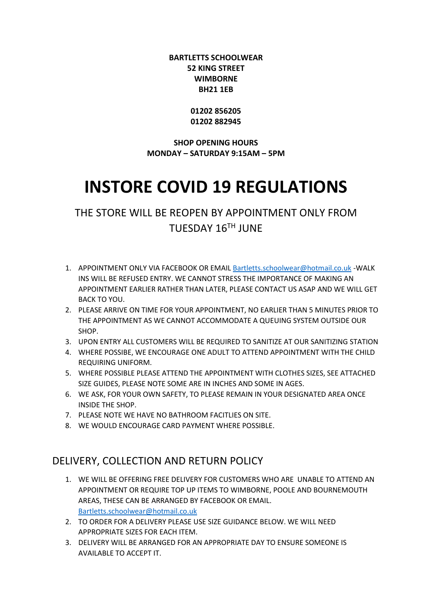#### **BARTLETTS SCHOOLWEAR 52 KING STREET WIMBORNE BH21 1EB**

**01202 856205 01202 882945**

**SHOP OPENING HOURS MONDAY – SATURDAY 9:15AM – 5PM**

# **INSTORE COVID 19 REGULATIONS**

THE STORE WILL BE REOPEN BY APPOINTMENT ONLY FROM TUESDAY 16TH JUNE

- 1. APPOINTMENT ONLY VIA FACEBOOK OR EMAIL [Bartletts.schoolwear@hotmail.co.uk](mailto:Bartletts.schoolwear@hotmail.co.uk) -WALK INS WILL BE REFUSED ENTRY. WE CANNOT STRESS THE IMPORTANCE OF MAKING AN APPOINTMENT EARLIER RATHER THAN LATER, PLEASE CONTACT US ASAP AND WE WILL GET BACK TO YOU.
- 2. PLEASE ARRIVE ON TIME FOR YOUR APPOINTMENT, NO EARLIER THAN 5 MINUTES PRIOR TO THE APPOINTMENT AS WE CANNOT ACCOMMODATE A QUEUING SYSTEM OUTSIDE OUR SHOP.
- 3. UPON ENTRY ALL CUSTOMERS WILL BE REQUIRED TO SANITIZE AT OUR SANITIZING STATION
- 4. WHERE POSSIBE, WE ENCOURAGE ONE ADULT TO ATTEND APPOINTMENT WITH THE CHILD REQUIRING UNIFORM.
- 5. WHERE POSSIBLE PLEASE ATTEND THE APPOINTMENT WITH CLOTHES SIZES, SEE ATTACHED SIZE GUIDES, PLEASE NOTE SOME ARE IN INCHES AND SOME IN AGES.
- 6. WE ASK, FOR YOUR OWN SAFETY, TO PLEASE REMAIN IN YOUR DESIGNATED AREA ONCE INSIDE THE SHOP.
- 7. PLEASE NOTE WE HAVE NO BATHROOM FACITLIES ON SITE.
- 8. WE WOULD ENCOURAGE CARD PAYMENT WHERE POSSIBLE.

# DELIVERY, COLLECTION AND RETURN POLICY

- 1. WE WILL BE OFFERING FREE DELIVERY FOR CUSTOMERS WHO ARE UNABLE TO ATTEND AN APPOINTMENT OR REQUIRE TOP UP ITEMS TO WIMBORNE, POOLE AND BOURNEMOUTH AREAS, THESE CAN BE ARRANGED BY FACEBOOK OR EMAIL. [Bartletts.schoolwear@hotmail.co.uk](mailto:Bartletts.schoolwear@hotmail.co.uk)
- 2. TO ORDER FOR A DELIVERY PLEASE USE SIZE GUIDANCE BELOW. WE WILL NEED APPROPRIATE SIZES FOR EACH ITEM.
- 3. DELIVERY WILL BE ARRANGED FOR AN APPROPRIATE DAY TO ENSURE SOMEONE IS AVAILABLE TO ACCEPT IT.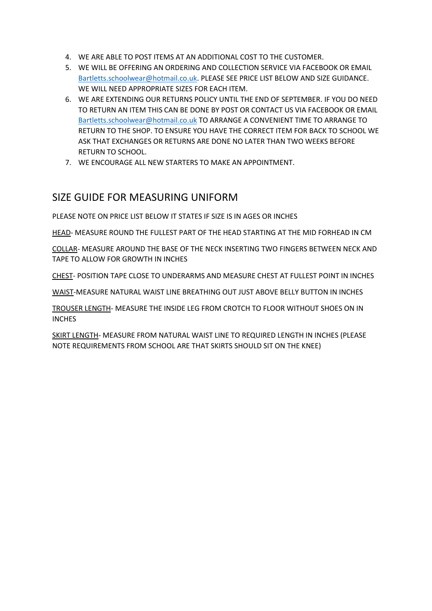- 4. WE ARE ABLE TO POST ITEMS AT AN ADDITIONAL COST TO THE CUSTOMER.
- 5. WE WILL BE OFFERING AN ORDERING AND COLLECTION SERVICE VIA FACEBOOK OR EMAIL [Bartletts.schoolwear@hotmail.co.uk.](mailto:Bartletts.schoolwear@hotmail.co.uk) PLEASE SEE PRICE LIST BELOW AND SIZE GUIDANCE. WE WILL NEED APPROPRIATE SIZES FOR EACH ITEM.
- 6. WE ARE EXTENDING OUR RETURNS POLICY UNTIL THE END OF SEPTEMBER. IF YOU DO NEED TO RETURN AN ITEM THIS CAN BE DONE BY POST OR CONTACT US VIA FACEBOOK OR EMAIL [Bartletts.schoolwear@hotmail.co.uk](mailto:Bartletts.schoolwear@hotmail.co.uk) TO ARRANGE A CONVENIENT TIME TO ARRANGE TO RETURN TO THE SHOP. TO ENSURE YOU HAVE THE CORRECT ITEM FOR BACK TO SCHOOL WE ASK THAT EXCHANGES OR RETURNS ARE DONE NO LATER THAN TWO WEEKS BEFORE RETURN TO SCHOOL.
- 7. WE ENCOURAGE ALL NEW STARTERS TO MAKE AN APPOINTMENT.

# SIZE GUIDE FOR MEASURING UNIFORM

PLEASE NOTE ON PRICE LIST BELOW IT STATES IF SIZE IS IN AGES OR INCHES

HEAD- MEASURE ROUND THE FULLEST PART OF THE HEAD STARTING AT THE MID FORHEAD IN CM

COLLAR- MEASURE AROUND THE BASE OF THE NECK INSERTING TWO FINGERS BETWEEN NECK AND TAPE TO ALLOW FOR GROWTH IN INCHES

CHEST- POSITION TAPE CLOSE TO UNDERARMS AND MEASURE CHEST AT FULLEST POINT IN INCHES

WAIST-MEASURE NATURAL WAIST LINE BREATHING OUT JUST ABOVE BELLY BUTTON IN INCHES

TROUSER LENGTH- MEASURE THE INSIDE LEG FROM CROTCH TO FLOOR WITHOUT SHOES ON IN **INCHES** 

SKIRT LENGTH- MEASURE FROM NATURAL WAIST LINE TO REQUIRED LENGTH IN INCHES (PLEASE NOTE REQUIREMENTS FROM SCHOOL ARE THAT SKIRTS SHOULD SIT ON THE KNEE)